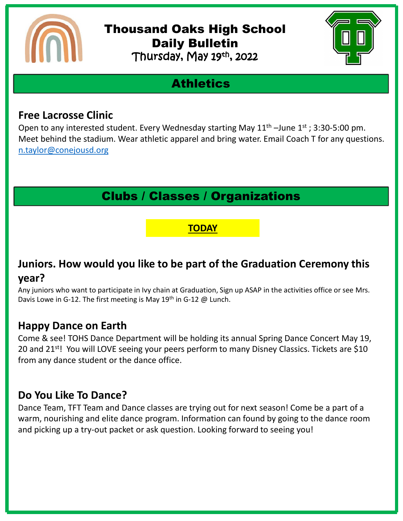

#### Thousand Oaks High School Daily Bulletin Thursday, May 19th, 2022



## **Athletics**

#### **Free Lacrosse Clinic**

Open to any interested student. Every Wednesday starting May  $11<sup>th</sup>$  –June  $1<sup>st</sup>$ ; 3:30-5:00 pm. Meet behind the stadium. Wear athletic apparel and bring water. Email Coach T for any questions. [n.taylor@conejousd.org](mailto:n.taylor@conejousd.org)

### Clubs / Classes / Organizations

#### **TODAY**

### **Juniors. How would you like to be part of the Graduation Ceremony this year?**

Any juniors who want to participate in Ivy chain at Graduation, Sign up ASAP in the activities office or see Mrs. Davis Lowe in G-12. The first meeting is May 19<sup>th</sup> in G-12 @ Lunch.

#### **Happy Dance on Earth**

Come & see! TOHS Dance Department will be holding its annual Spring Dance Concert May 19, 20 and 21<sup>st</sup>! You will LOVE seeing your peers perform to many Disney Classics. Tickets are \$10 from any dance student or the dance office.

#### **Do You Like To Dance?**

Dance Team, TFT Team and Dance classes are trying out for next season! Come be a part of a warm, nourishing and elite dance program. Information can found by going to the dance room and picking up a try-out packet or ask question. Looking forward to seeing you!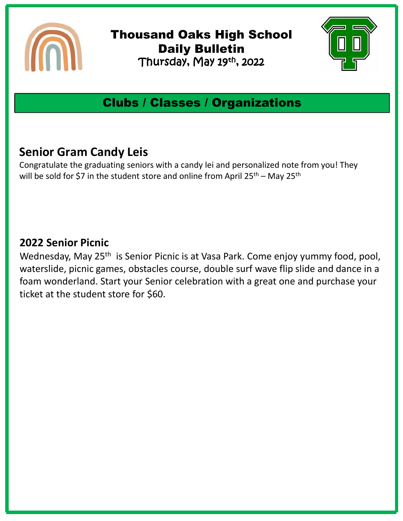

Thousand Oaks High School Daily Bulletin Thursday, May 19th , 2022



## Clubs / Classes / Organizations

### **Senior Gram Candy Leis**

Congratulate the graduating seniors with a candy lei and personalized note from you! They will be sold for \$7 in the student store and online from April 25<sup>th</sup> – May 25<sup>th</sup>

#### **2022 Senior Picnic**

Wednesday, May 25<sup>th</sup> is Senior Picnic is at Vasa Park. Come enjoy yummy food, pool, waterslide, picnic games, obstacles course, double surf wave flip slide and dance in a foam wonderland. Start your Senior celebration with a great one and purchase your ticket at the student store for \$60.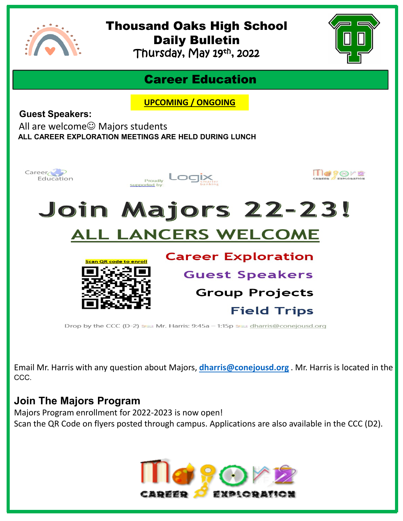

## Thousand Oaks High School Daily Bulletin

Thursday, May 19th , 2022



### Career Education

**UPCOMING / ONGOING**

**Guest Speakers:**

All are welcome $\odot$  Majors students **ALL CAREER EXPLORATION MEETINGS ARE HELD DURING LUNCH** 



Email Mr. Harris with any question about Majors, **[dharris@conejousd.org](mailto:dharris@conejousd.org)** . Mr. Harris is located in the CCC.

#### **Join The Majors Program**

Majors Program enrollment for 2022-2023 is now open! Scan the QR Code on flyers posted through campus. Applications are also available in the CCC (D2).